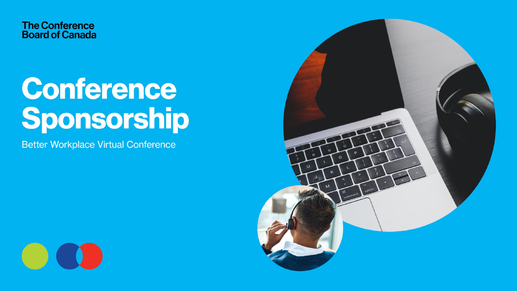**The Conference Board of Canada** 

# **Conference** Sponsorship

**Better Workplace Virtual Conference** 



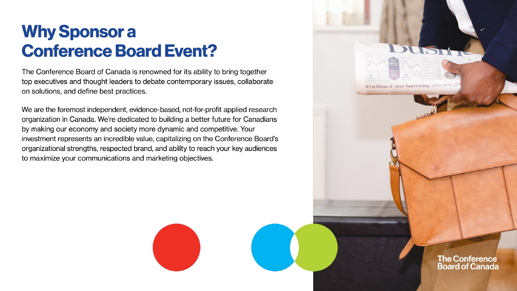### **Why Sponsor a Conference Board Event?**

The Conference Board of Canada is renowned for its ability to bring together top executives and thought leaders to debate contemporary issues, collaborate on solutions, and define best practices.

We are the foremost independent, evidence-based, not-for-profit applied research organization in Canada. We're dedicated to building a better future for Canadians by making our economy and society more dynamic and competitive. Your investment represents an incredible value, capitalizing on the Conference Board's organizational strengths, respected brand, and ability to reach your key audiences to maximize your communications and marketing objectives.

> **The Conference Board of Canada**

\$3 trillion of 'over-borrowing' risks new g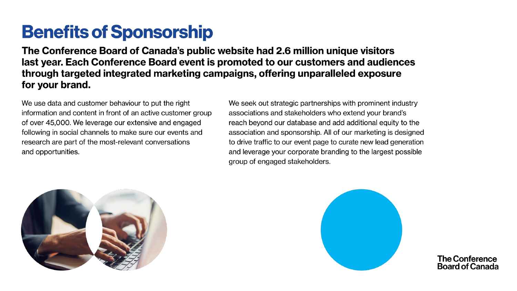## **Benefits of Sponsorship**

The Conference Board of Canada's public website had 2.6 million unique visitors last year. Each Conference Board event is promoted to our customers and audiences through targeted integrated marketing campaigns, offering unparalleled exposure for your brand.

We use data and customer behaviour to put the right information and content in front of an active customer group of over 45,000. We leverage our extensive and engaged following in social channels to make sure our events and research are part of the most-relevant conversations and opportunities.

We seek out strategic partnerships with prominent industry associations and stakeholders who extend your brand's reach beyond our database and add additional equity to the association and sponsorship. All of our marketing is designed to drive traffic to our event page to curate new lead generation and leverage your corporate branding to the largest possible aroup of engaged stakeholders.





**The Conference Board of Canada**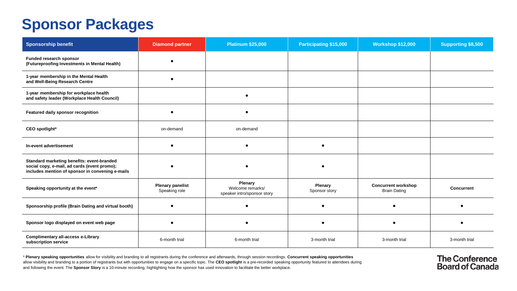#### **Sponsor Packages**

| <b>Sponsorship benefit</b>                                                                                                                     | <b>Diamond partner</b>                   | <b>Platinum \$25,000</b>                                          | Participating \$15,000          | <b>Workshop \$12,000</b>                          | <b>Supporting \$8,500</b> |
|------------------------------------------------------------------------------------------------------------------------------------------------|------------------------------------------|-------------------------------------------------------------------|---------------------------------|---------------------------------------------------|---------------------------|
| Funded research sponsor<br>(Futureproofing Investments in Mental Health)                                                                       |                                          |                                                                   |                                 |                                                   |                           |
| 1-year membership in the Mental Health<br>and Well-Being Research Centre                                                                       |                                          |                                                                   |                                 |                                                   |                           |
| 1-year membership for workplace health<br>and safety leader (Workplace Health Council)                                                         |                                          | $\bullet$                                                         |                                 |                                                   |                           |
| Featured daily sponsor recognition                                                                                                             |                                          | $\bullet$                                                         |                                 |                                                   |                           |
| <b>CEO</b> spotlight*                                                                                                                          | on-demand                                | on-demand                                                         |                                 |                                                   |                           |
| In-event advertisement                                                                                                                         |                                          |                                                                   | $\bullet$                       |                                                   |                           |
| Standard marketing benefits: event-branded<br>social copy, e-mail, ad cards (event promo);<br>includes mention of sponsor in convening e-mails |                                          |                                                                   | $\bullet$                       |                                                   |                           |
| Speaking opportunity at the event*                                                                                                             | <b>Plenary panelist</b><br>Speaking role | <b>Plenary</b><br>Welcome remarks/<br>speaker intro/sponsor story | <b>Plenary</b><br>Sponsor story | <b>Concurrent workshop</b><br><b>Brain Dating</b> | <b>Concurrent</b>         |
| Sponsorship profile (Brain Dating and virtual booth)                                                                                           |                                          | $\bullet$                                                         | $\bullet$                       |                                                   | $\bullet$                 |
| Sponsor logo displayed on event web page                                                                                                       |                                          | $\bullet$                                                         | $\bullet$                       |                                                   | $\bullet$                 |
| <b>Complimentary all-access e-Library</b><br>subscription service                                                                              | 6-month trial                            | 6-month trial                                                     | 3-month trial                   | 3-month trial                                     | 3-month trial             |

\* **Plenary speaking opportunities** allow for visibility and branding to all registrants during the conference and afterwards, through session recordings. **Concurrent speaking opportunities** allow visibility and branding to a portion of registrants but with opportunities to engage on a specific topic. The CEO spotlight is a pre-recorded speaking opportunity featured to attendees during and following the event. The **Sponsor Story** is a 10-minute recording, highlighting how the sponsor has used innovation to facilitate the better workplace.

The Conference<br>Board of Canada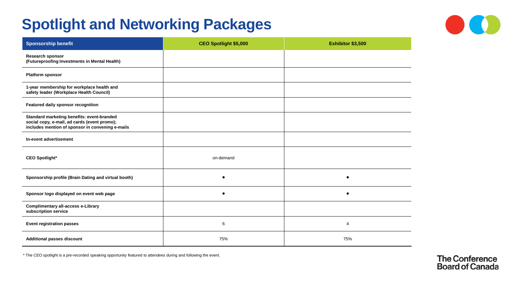#### **Spotlight and Networking Packages**



| <b>Sponsorship benefit</b>                                                                                                                     | <b>CEO Spotlight \$5,000</b> | Exhibitor \$3,500 |
|------------------------------------------------------------------------------------------------------------------------------------------------|------------------------------|-------------------|
| <b>Research sponsor</b><br>(Futureproofing Investments in Mental Health)                                                                       |                              |                   |
| <b>Platform sponsor</b>                                                                                                                        |                              |                   |
| 1-year membership for workplace health and<br>safety leader (Workplace Health Council)                                                         |                              |                   |
| Featured daily sponsor recognition                                                                                                             |                              |                   |
| Standard marketing benefits: event-branded<br>social copy, e-mail, ad cards (event promo);<br>includes mention of sponsor in convening e-mails |                              |                   |
| In-event advertisement                                                                                                                         |                              |                   |
| <b>CEO Spotlight*</b>                                                                                                                          | on-demand                    |                   |
| Sponsorship profile (Brain Dating and virtual booth)                                                                                           |                              |                   |
| Sponsor logo displayed on event web page                                                                                                       |                              |                   |
| <b>Complimentary all-access e-Library</b><br>subscription service                                                                              |                              |                   |
| <b>Event registration passes</b>                                                                                                               | 6                            | $\overline{4}$    |
| <b>Additional passes discount</b>                                                                                                              | 75%                          | 75%               |

\* The CEO spotlight is a pre-recorded speaking opportunity featured to attendees during and following the event.

The Conference<br>Board of Canada